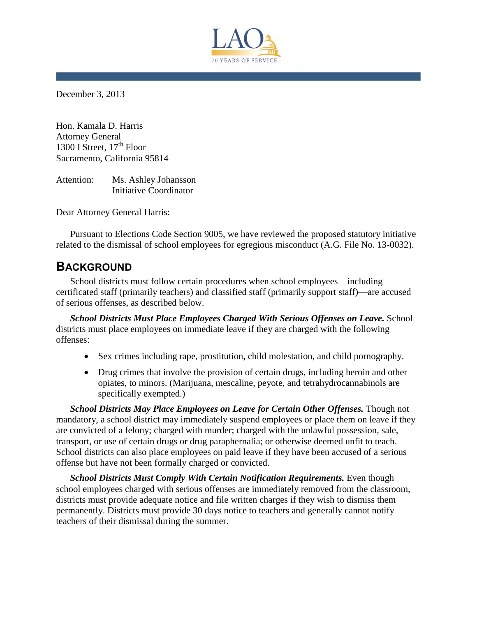

December 3, 2013

Hon. Kamala D. Harris Attorney General 1300 I Street,  $17<sup>th</sup>$  Floor Sacramento, California 95814

Attention: Ms. Ashley Johansson Initiative Coordinator

Dear Attorney General Harris:

Pursuant to Elections Code Section 9005, we have reviewed the proposed statutory initiative related to the dismissal of school employees for egregious misconduct (A.G. File No. 13-0032).

# **BACKGROUND**

School districts must follow certain procedures when school employees—including certificated staff (primarily teachers) and classified staff (primarily support staff)—are accused of serious offenses, as described below.

**School Districts Must Place Employees Charged With Serious Offenses on Leave. School** districts must place employees on immediate leave if they are charged with the following offenses:

- Sex crimes including rape, prostitution, child molestation, and child pornography.
- Drug crimes that involve the provision of certain drugs, including heroin and other opiates, to minors. (Marijuana, mescaline, peyote, and tetrahydrocannabinols are specifically exempted.)

*School Districts May Place Employees on Leave for Certain Other Offenses.* Though not mandatory, a school district may immediately suspend employees or place them on leave if they are convicted of a felony; charged with murder; charged with the unlawful possession, sale, transport, or use of certain drugs or drug paraphernalia; or otherwise deemed unfit to teach. School districts can also place employees on paid leave if they have been accused of a serious offense but have not been formally charged or convicted.

*School Districts Must Comply With Certain Notification Requirements.* Even though school employees charged with serious offenses are immediately removed from the classroom, districts must provide adequate notice and file written charges if they wish to dismiss them permanently. Districts must provide 30 days notice to teachers and generally cannot notify teachers of their dismissal during the summer.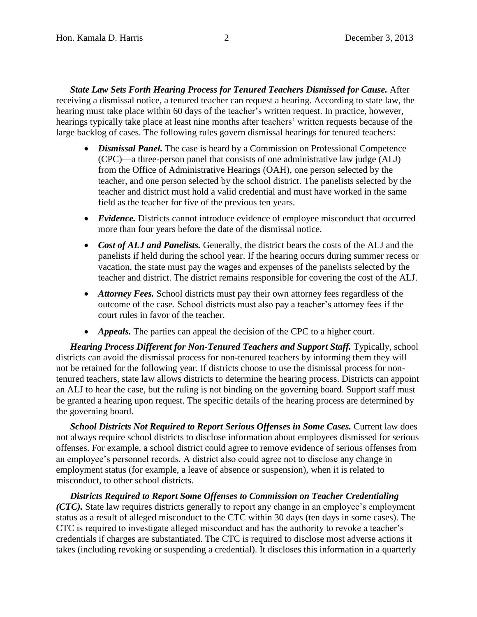*State Law Sets Forth Hearing Process for Tenured Teachers Dismissed for Cause.* After receiving a dismissal notice, a tenured teacher can request a hearing. According to state law, the hearing must take place within 60 days of the teacher's written request. In practice, however, hearings typically take place at least nine months after teachers' written requests because of the large backlog of cases. The following rules govern dismissal hearings for tenured teachers:

- *Dismissal Panel.* The case is heard by a Commission on Professional Competence (CPC)—a three-person panel that consists of one administrative law judge (ALJ) from the Office of Administrative Hearings (OAH), one person selected by the teacher, and one person selected by the school district. The panelists selected by the teacher and district must hold a valid credential and must have worked in the same field as the teacher for five of the previous ten years.
- *Evidence.* Districts cannot introduce evidence of employee misconduct that occurred more than four years before the date of the dismissal notice.
- *Cost of ALJ and Panelists.* Generally, the district bears the costs of the ALJ and the panelists if held during the school year. If the hearing occurs during summer recess or vacation, the state must pay the wages and expenses of the panelists selected by the teacher and district. The district remains responsible for covering the cost of the ALJ.
- *Attorney Fees.* School districts must pay their own attorney fees regardless of the outcome of the case. School districts must also pay a teacher's attorney fees if the court rules in favor of the teacher.
- *Appeals*. The parties can appeal the decision of the CPC to a higher court.

Hearing Process Different for Non-Tenured Teachers and Support Staff. Typically, school districts can avoid the dismissal process for non-tenured teachers by informing them they will not be retained for the following year. If districts choose to use the dismissal process for nontenured teachers, state law allows districts to determine the hearing process. Districts can appoint an ALJ to hear the case, but the ruling is not binding on the governing board. Support staff must be granted a hearing upon request. The specific details of the hearing process are determined by the governing board.

**School Districts Not Required to Report Serious Offenses in Some Cases.** Current law does not always require school districts to disclose information about employees dismissed for serious offenses. For example, a school district could agree to remove evidence of serious offenses from an employee's personnel records. A district also could agree not to disclose any change in employment status (for example, a leave of absence or suspension), when it is related to misconduct, to other school districts.

*Districts Required to Report Some Offenses to Commission on Teacher Credentialing (CTC)*. State law requires districts generally to report any change in an employee's employment status as a result of alleged misconduct to the CTC within 30 days (ten days in some cases). The CTC is required to investigate alleged misconduct and has the authority to revoke a teacher's credentials if charges are substantiated. The CTC is required to disclose most adverse actions it takes (including revoking or suspending a credential). It discloses this information in a quarterly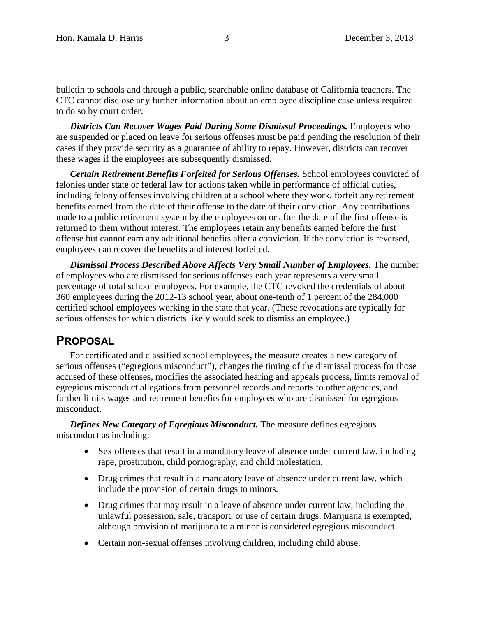bulletin to schools and through a public, searchable online database of California teachers. The CTC cannot disclose any further information about an employee discipline case unless required to do so by court order.

*Districts Can Recover Wages Paid During Some Dismissal Proceedings.* Employees who are suspended or placed on leave for serious offenses must be paid pending the resolution of their cases if they provide security as a guarantee of ability to repay. However, districts can recover these wages if the employees are subsequently dismissed.

*Certain Retirement Benefits Forfeited for Serious Offenses.* School employees convicted of felonies under state or federal law for actions taken while in performance of official duties, including felony offenses involving children at a school where they work, forfeit any retirement benefits earned from the date of their offense to the date of their conviction. Any contributions made to a public retirement system by the employees on or after the date of the first offense is returned to them without interest. The employees retain any benefits earned before the first offense but cannot earn any additional benefits after a conviction. If the conviction is reversed, employees can recover the benefits and interest forfeited.

*Dismissal Process Described Above Affects Very Small Number of Employees.* The number of employees who are dismissed for serious offenses each year represents a very small percentage of total school employees. For example, the CTC revoked the credentials of about 360 employees during the 2012-13 school year, about one-tenth of 1 percent of the 284,000 certified school employees working in the state that year. (These revocations are typically for serious offenses for which districts likely would seek to dismiss an employee.)

### **PROPOSAL**

For certificated and classified school employees, the measure creates a new category of serious offenses ("egregious misconduct"), changes the timing of the dismissal process for those accused of these offenses, modifies the associated hearing and appeals process, limits removal of egregious misconduct allegations from personnel records and reports to other agencies, and further limits wages and retirement benefits for employees who are dismissed for egregious misconduct.

*Defines New Category of Egregious Misconduct.* The measure defines egregious misconduct as including:

- Sex offenses that result in a mandatory leave of absence under current law, including rape, prostitution, child pornography, and child molestation.
- Drug crimes that result in a mandatory leave of absence under current law, which include the provision of certain drugs to minors.
- Drug crimes that may result in a leave of absence under current law, including the unlawful possession, sale, transport, or use of certain drugs. Marijuana is exempted, although provision of marijuana to a minor is considered egregious misconduct.
- Certain non-sexual offenses involving children, including child abuse.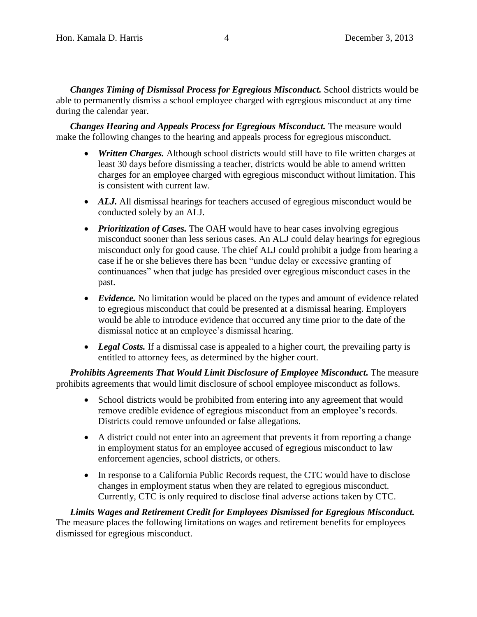*Changes Timing of Dismissal Process for Egregious Misconduct.* School districts would be able to permanently dismiss a school employee charged with egregious misconduct at any time during the calendar year.

*Changes Hearing and Appeals Process for Egregious Misconduct.* The measure would make the following changes to the hearing and appeals process for egregious misconduct.

- *Written Charges.* Although school districts would still have to file written charges at least 30 days before dismissing a teacher, districts would be able to amend written charges for an employee charged with egregious misconduct without limitation. This is consistent with current law.
- *ALJ.* All dismissal hearings for teachers accused of egregious misconduct would be conducted solely by an ALJ.
- *Prioritization of Cases.* The OAH would have to hear cases involving egregious misconduct sooner than less serious cases. An ALJ could delay hearings for egregious misconduct only for good cause. The chief ALJ could prohibit a judge from hearing a case if he or she believes there has been "undue delay or excessive granting of continuances" when that judge has presided over egregious misconduct cases in the past.
- *Evidence.* No limitation would be placed on the types and amount of evidence related to egregious misconduct that could be presented at a dismissal hearing. Employers would be able to introduce evidence that occurred any time prior to the date of the dismissal notice at an employee's dismissal hearing.
- Legal Costs. If a dismissal case is appealed to a higher court, the prevailing party is entitled to attorney fees, as determined by the higher court.

*Prohibits Agreements That Would Limit Disclosure of Employee Misconduct.* The measure prohibits agreements that would limit disclosure of school employee misconduct as follows.

- School districts would be prohibited from entering into any agreement that would remove credible evidence of egregious misconduct from an employee's records. Districts could remove unfounded or false allegations.
- A district could not enter into an agreement that prevents it from reporting a change in employment status for an employee accused of egregious misconduct to law enforcement agencies, school districts, or others.
- In response to a California Public Records request, the CTC would have to disclose changes in employment status when they are related to egregious misconduct. Currently, CTC is only required to disclose final adverse actions taken by CTC.

*Limits Wages and Retirement Credit for Employees Dismissed for Egregious Misconduct.* The measure places the following limitations on wages and retirement benefits for employees dismissed for egregious misconduct.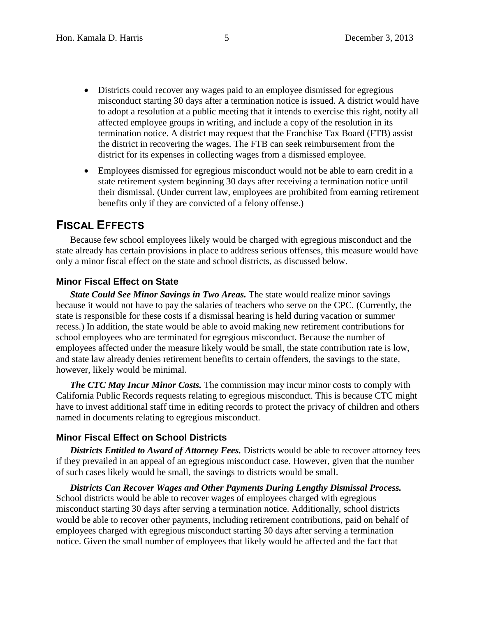- Districts could recover any wages paid to an employee dismissed for egregious misconduct starting 30 days after a termination notice is issued. A district would have to adopt a resolution at a public meeting that it intends to exercise this right, notify all affected employee groups in writing, and include a copy of the resolution in its termination notice. A district may request that the Franchise Tax Board (FTB) assist the district in recovering the wages. The FTB can seek reimbursement from the district for its expenses in collecting wages from a dismissed employee.
- Employees dismissed for egregious misconduct would not be able to earn credit in a state retirement system beginning 30 days after receiving a termination notice until their dismissal. (Under current law, employees are prohibited from earning retirement benefits only if they are convicted of a felony offense.)

## **FISCAL EFFECTS**

Because few school employees likely would be charged with egregious misconduct and the state already has certain provisions in place to address serious offenses, this measure would have only a minor fiscal effect on the state and school districts, as discussed below.

#### **Minor Fiscal Effect on State**

*State Could See Minor Savings in Two Areas.* The state would realize minor savings because it would not have to pay the salaries of teachers who serve on the CPC. (Currently, the state is responsible for these costs if a dismissal hearing is held during vacation or summer recess.) In addition, the state would be able to avoid making new retirement contributions for school employees who are terminated for egregious misconduct. Because the number of employees affected under the measure likely would be small, the state contribution rate is low, and state law already denies retirement benefits to certain offenders, the savings to the state, however, likely would be minimal.

*The CTC May Incur Minor Costs.* The commission may incur minor costs to comply with California Public Records requests relating to egregious misconduct. This is because CTC might have to invest additional staff time in editing records to protect the privacy of children and others named in documents relating to egregious misconduct.

#### **Minor Fiscal Effect on School Districts**

**Districts Entitled to Award of Attorney Fees.** Districts would be able to recover attorney fees if they prevailed in an appeal of an egregious misconduct case. However, given that the number of such cases likely would be small, the savings to districts would be small.

*Districts Can Recover Wages and Other Payments During Lengthy Dismissal Process.* School districts would be able to recover wages of employees charged with egregious misconduct starting 30 days after serving a termination notice. Additionally, school districts would be able to recover other payments, including retirement contributions, paid on behalf of employees charged with egregious misconduct starting 30 days after serving a termination notice. Given the small number of employees that likely would be affected and the fact that